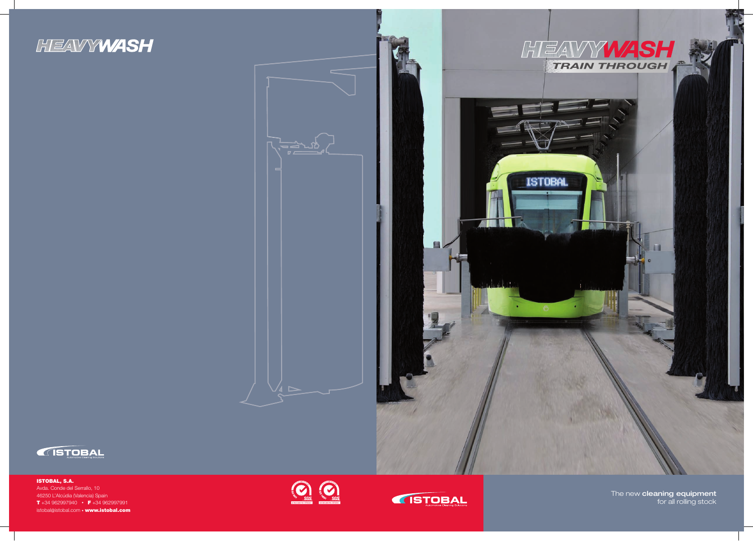





The new cleaning equipment for all rolling stock

ISTOBAL, S.A. Avda. Conde del Serrallo, 10 46250 L'Alcúdia (Valencia) Spain T +34 962997940 • F +34 962997991 istobal@istobal.com • www.istobal.com